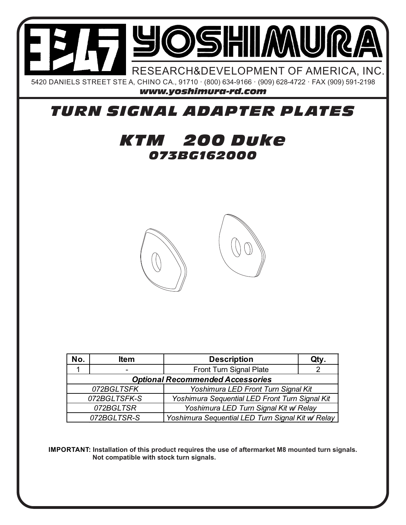

## *TURN SIGNAL ADAPTER PLATES*

## *073BG162000 KTM 200 Duke*



| No.                                                              | <b>Item</b>              | <b>Description</b>                             | Qty. |
|------------------------------------------------------------------|--------------------------|------------------------------------------------|------|
|                                                                  | $\overline{\phantom{0}}$ | <b>Front Turn Signal Plate</b>                 |      |
| <b>Optional Recommended Accessories</b>                          |                          |                                                |      |
| 072BGLTSFK                                                       |                          | Yoshimura LED Front Turn Signal Kit            |      |
| 072BGLTSFK-S                                                     |                          | Yoshimura Sequential LED Front Turn Signal Kit |      |
| 072BGLTSR                                                        |                          | Yoshimura LED Turn Signal Kit w/ Relay         |      |
| Yoshimura Sequential LED Turn Signal Kit w/ Relay<br>072BGLTSR-S |                          |                                                |      |

**IMPORTANT: Installation of this product requires the use of aftermarket M8 mounted turn signals. Not compatible with stock turn signals.**